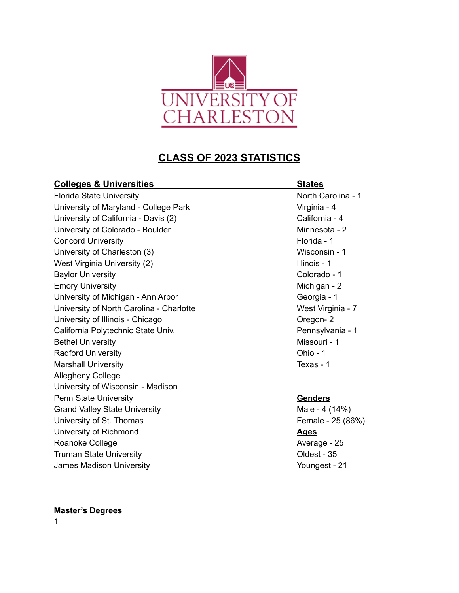

# **CLASS OF 2023 STATISTICS**

| <b>Colleges &amp; Universities</b>       | <b>States</b>      |
|------------------------------------------|--------------------|
| <b>Florida State University</b>          | North Carolina - 1 |
| University of Maryland - College Park    | Virginia - 4       |
| University of California - Davis (2)     | California - 4     |
| University of Colorado - Boulder         | Minnesota - 2      |
| <b>Concord University</b>                | Florida - 1        |
| University of Charleston (3)             | Wisconsin - 1      |
| West Virginia University (2)             | Illinois - 1       |
| <b>Baylor University</b>                 | Colorado - 1       |
| <b>Emory University</b>                  | Michigan - 2       |
| University of Michigan - Ann Arbor       | Georgia - 1        |
| University of North Carolina - Charlotte | West Virginia - 7  |
| University of Illinois - Chicago         | Oregon-2           |
| California Polytechnic State Univ.       | Pennsylvania - 1   |
| <b>Bethel University</b>                 | Missouri - 1       |
| <b>Radford University</b>                | Ohio - 1           |
| <b>Marshall University</b>               | Texas - 1          |
| <b>Allegheny College</b>                 |                    |
| University of Wisconsin - Madison        |                    |
| <b>Penn State University</b>             | <b>Genders</b>     |
| <b>Grand Valley State University</b>     | Male - 4 (14%)     |
| University of St. Thomas                 | Female - 25 (86%)  |
| University of Richmond                   | <b>Ages</b>        |
| Roanoke College                          | Average - 25       |
| <b>Truman State University</b>           | Oldest - 35        |
| James Madison University                 | Youngest - 21      |

#### **Master's Degrees**

1